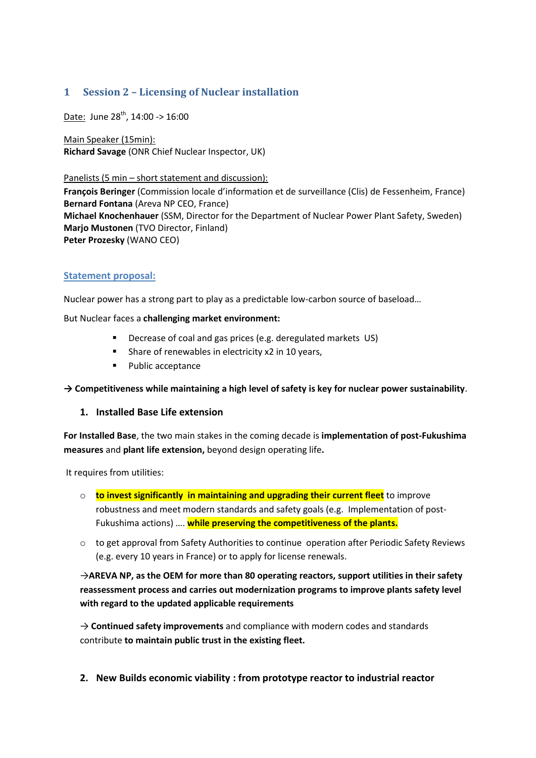## **1 Session 2 – Licensing of Nuclear installation**

Date: June 28<sup>th</sup>, 14:00 -> 16:00

Main Speaker (15min): **Richard Savage** (ONR Chief Nuclear Inspector, UK)

Panelists (5 min – short statement and discussion):

**François Beringer** (Commission locale d'information et de surveillance (Clis) de Fessenheim, France) **Bernard Fontana** (Areva NP CEO, France) **Michael Knochenhauer** (SSM, Director for the Department of Nuclear Power Plant Safety, Sweden) **Marjo Mustonen** (TVO Director, Finland) **Peter Prozesky** (WANO CEO)

## **Statement proposal:**

Nuclear power has a strong part to play as a predictable low-carbon source of baseload…

But Nuclear faces a **challenging market environment:**

- Decrease of coal and gas prices (e.g. deregulated markets US)
- Share of renewables in electricity x2 in 10 years,
- Public acceptance

**→ Competitiveness while maintaining a high level of safety is key for nuclear power sustainability**.

## **1. Installed Base Life extension**

**For Installed Base**, the two main stakes in the coming decade is **implementation of post-Fukushima measures** and **plant life extension,** beyond design operating life**.**

It requires from utilities:

- o **to invest significantly in maintaining and upgrading their current fleet** to improve robustness and meet modern standards and safety goals (e.g. Implementation of post-Fukushima actions) …. **while preserving the competitiveness of the plants.**
- $\circ$  to get approval from Safety Authorities to continue operation after Periodic Safety Reviews (e.g. every 10 years in France) or to apply for license renewals.

→**AREVA NP, as the OEM for more than 80 operating reactors, support utilities in their safety reassessment process and carries out modernization programs to improve plants safety level with regard to the updated applicable requirements**

→ **Continued safety improvements** and compliance with modern codes and standards contribute **to maintain public trust in the existing fleet.**

**2. New Builds economic viability : from prototype reactor to industrial reactor**